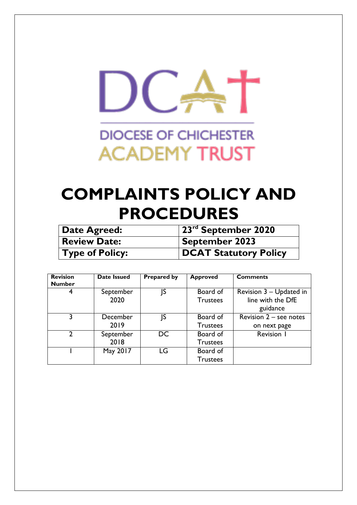

# **DIOCESE OF CHICHESTER ACADEMY TRUST**

# **COMPLAINTS POLICY AND PROCEDURES**

| Date Agreed:           | $\sqrt{23}$ <sup>rd</sup> September 2020 |
|------------------------|------------------------------------------|
| <b>Review Date:</b>    | September 2023                           |
| <b>Type of Policy:</b> | <b>DCAT Statutory Policy</b>             |

| <b>Revision</b><br><b>Number</b> | Date Issued | <b>Prepared by</b> | <b>Approved</b> | <b>Comments</b>                            |
|----------------------------------|-------------|--------------------|-----------------|--------------------------------------------|
| 4                                | September   | ١S                 | Board of        | Revision 3 - Updated in                    |
|                                  | 2020        |                    | <b>Trustees</b> | line with the DfE                          |
|                                  |             |                    |                 | guidance                                   |
| 3                                | December    | ß                  | Board of        | <b>Revision <math>2 -</math> see notes</b> |
|                                  | 2019        |                    | <b>Trustees</b> | on next page                               |
| າ                                | September   | DC                 | Board of        | Revision 1                                 |
|                                  | 2018        |                    | <b>Trustees</b> |                                            |
|                                  | May 2017    | LG                 | Board of        |                                            |
|                                  |             |                    | Trustees        |                                            |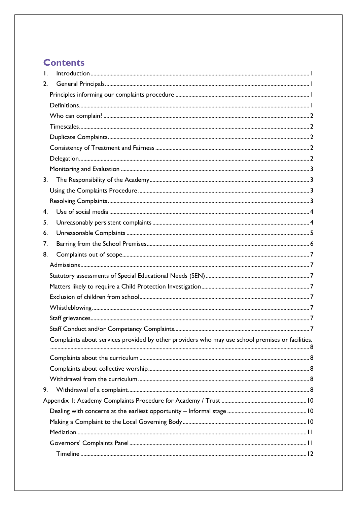# **Contents**

| $\mathsf{L}$   |                                                                                                  |  |
|----------------|--------------------------------------------------------------------------------------------------|--|
| 2.             |                                                                                                  |  |
|                |                                                                                                  |  |
|                |                                                                                                  |  |
|                |                                                                                                  |  |
|                |                                                                                                  |  |
|                |                                                                                                  |  |
|                |                                                                                                  |  |
|                |                                                                                                  |  |
|                |                                                                                                  |  |
| 3.             |                                                                                                  |  |
|                |                                                                                                  |  |
|                |                                                                                                  |  |
| 4 <sub>1</sub> |                                                                                                  |  |
| 5.             |                                                                                                  |  |
| 6.             |                                                                                                  |  |
| 7.             |                                                                                                  |  |
| 8.             |                                                                                                  |  |
|                |                                                                                                  |  |
|                |                                                                                                  |  |
|                |                                                                                                  |  |
|                |                                                                                                  |  |
|                |                                                                                                  |  |
|                |                                                                                                  |  |
|                |                                                                                                  |  |
|                | Complaints about services provided by other providers who may use school premises or facilities. |  |
|                |                                                                                                  |  |
|                |                                                                                                  |  |
|                |                                                                                                  |  |
| 9.             |                                                                                                  |  |
|                |                                                                                                  |  |
|                |                                                                                                  |  |
|                |                                                                                                  |  |
|                |                                                                                                  |  |
|                |                                                                                                  |  |
|                |                                                                                                  |  |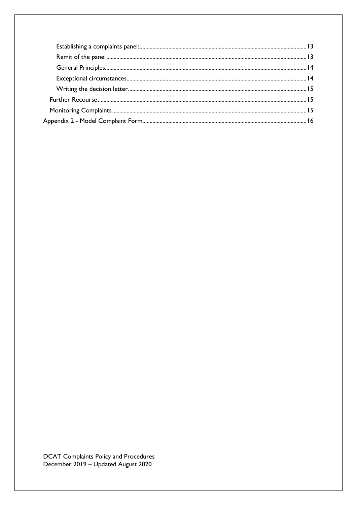DCAT Complaints Policy and Procedures<br>December 2019 – Updated August 2020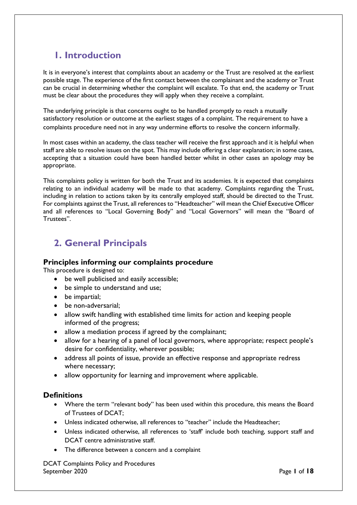# <span id="page-3-0"></span>**1. Introduction**

It is in everyone's interest that complaints about an academy or the Trust are resolved at the earliest possible stage. The experience of the first contact between the complainant and the academy or Trust can be crucial in determining whether the complaint will escalate. To that end, the academy or Trust must be clear about the procedures they will apply when they receive a complaint.

The underlying principle is that concerns ought to be handled promptly to reach a mutually satisfactory resolution or outcome at the earliest stages of a complaint. The requirement to have a complaints procedure need not in any way undermine efforts to resolve the concern informally.

In most cases within an academy, the class teacher will receive the first approach and it is helpful when staff are able to resolve issues on the spot. This may include offering a clear explanation; in some cases, accepting that a situation could have been handled better whilst in other cases an apology may be appropriate.

This complaints policy is written for both the Trust and its academies. It is expected that complaints relating to an individual academy will be made to that academy. Complaints regarding the Trust, including in relation to actions taken by its centrally employed staff, should be directed to the Trust. For complaints against the Trust, all references to "Headteacher" will mean the Chief Executive Officer and all references to "Local Governing Body" and "Local Governors" will mean the "Board of Trustees".

# <span id="page-3-1"></span>**2. General Principals**

### <span id="page-3-2"></span>**Principles informing our complaints procedure**

This procedure is designed to:

- be well publicised and easily accessible;
- be simple to understand and use:
- be impartial;
- be non-adversarial;
- allow swift handling with established time limits for action and keeping people informed of the progress;
- allow a mediation process if agreed by the complainant;
- allow for a hearing of a panel of local governors, where appropriate; respect people's desire for confidentiality, wherever possible;
- address all points of issue, provide an effective response and appropriate redress where necessary;
- allow opportunity for learning and improvement where applicable.

### <span id="page-3-3"></span>**Definitions**

- Where the term "relevant body" has been used within this procedure, this means the Board of Trustees of DCAT;
- Unless indicated otherwise, all references to "teacher" include the Headteacher;
- Unless indicated otherwise, all references to 'staff' include both teaching, support staff and DCAT centre administrative staff.
- The difference between a concern and a complaint

DCAT Complaints Policy and Procedures September 2020 Page **1** of **18**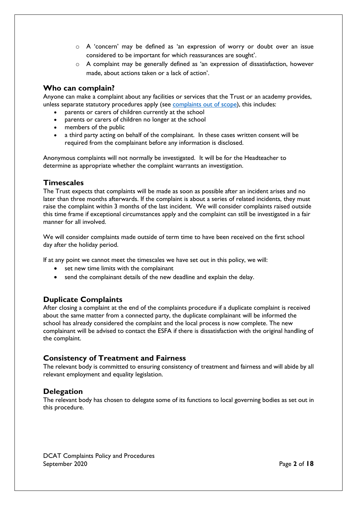- o A 'concern' may be defined as 'an expression of worry or doubt over an issue considered to be important for which reassurances are sought'.
- $\circ$  A complaint may be generally defined as 'an expression of dissatisfaction, however made, about actions taken or a lack of action'.

### <span id="page-4-0"></span>**Who can complain?**

Anyone can make a complaint about any facilities or services that the Trust or an academy provides, unless separate statutory procedures apply (see [complaints out of scope\)](#page-9-0), this includes:

- parents or carers of children currently at the school
- parents or carers of children no longer at the school
- members of the public
- a third party acting on behalf of the complainant. In these cases written consent will be required from the complainant before any information is disclosed.

Anonymous complaints will not normally be investigated. It will be for the Headteacher to determine as appropriate whether the complaint warrants an investigation.

### <span id="page-4-1"></span>**Timescales**

The Trust expects that complaints will be made as soon as possible after an incident arises and no later than three months afterwards. If the complaint is about a series of related incidents, they must raise the complaint within 3 months of the last incident. We will consider complaints raised outside this time frame if exceptional circumstances apply and the complaint can still be investigated in a fair manner for all involved.

We will consider complaints made outside of term time to have been received on the first school day after the holiday period.

If at any point we cannot meet the timescales we have set out in this policy, we will:

- set new time limits with the complainant
- send the complainant details of the new deadline and explain the delay.

### <span id="page-4-2"></span>**Duplicate Complaints**

After closing a complaint at the end of the complaints procedure if a duplicate complaint is received about the same matter from a connected party, the duplicate complainant will be informed the school has already considered the complaint and the local process is now complete. The new complainant will be advised to contact the ESFA if there is dissatisfaction with the original handling of the complaint.

### <span id="page-4-3"></span>**Consistency of Treatment and Fairness**

The relevant body is committed to ensuring consistency of treatment and fairness and will abide by all relevant employment and equality legislation.

### <span id="page-4-4"></span>**Delegation**

The relevant body has chosen to delegate some of its functions to local governing bodies as set out in this procedure.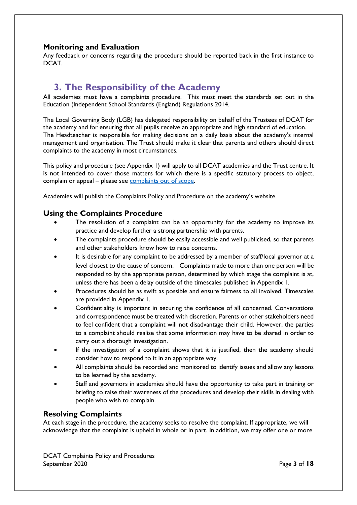### <span id="page-5-0"></span>**Monitoring and Evaluation**

Any feedback or concerns regarding the procedure should be reported back in the first instance to DCAT.

### <span id="page-5-1"></span>**3. The Responsibility of the Academy**

All academies must have a complaints procedure. This must meet the standards set out in the Education (Independent School Standards (England) Regulations 2014.

The Local Governing Body (LGB) has delegated responsibility on behalf of the Trustees of DCAT for the academy and for ensuring that all pupils receive an appropriate and high standard of education. The Headteacher is responsible for making decisions on a daily basis about the academy's internal management and organisation. The Trust should make it clear that parents and others should direct complaints to the academy in most circumstances.

This policy and procedure (see Appendix 1) will apply to all DCAT academies and the Trust centre. It is not intended to cover those matters for which there is a specific statutory process to object, complain or appeal – please see [complaints out of scope.](#page-9-0)

Academies will publish the Complaints Policy and Procedure on the academy's website.

### <span id="page-5-2"></span>**Using the Complaints Procedure**

- The resolution of a complaint can be an opportunity for the academy to improve its practice and develop further a strong partnership with parents.
- The complaints procedure should be easily accessible and well publicised, so that parents and other stakeholders know how to raise concerns.
- It is desirable for any complaint to be addressed by a member of staff/local governor at a level closest to the cause of concern. Complaints made to more than one person will be responded to by the appropriate person, determined by which stage the complaint is at, unless there has been a delay outside of the timescales published in Appendix 1.
- Procedures should be as swift as possible and ensure fairness to all involved. Timescales are provided in Appendix 1.
- Confidentiality is important in securing the confidence of all concerned. Conversations and correspondence must be treated with discretion. Parents or other stakeholders need to feel confident that a complaint will not disadvantage their child. However, the parties to a complaint should realise that some information may have to be shared in order to carry out a thorough investigation.
- If the investigation of a complaint shows that it is justified, then the academy should consider how to respond to it in an appropriate way.
- All complaints should be recorded and monitored to identify issues and allow any lessons to be learned by the academy.
- Staff and governors in academies should have the opportunity to take part in training or briefing to raise their awareness of the procedures and develop their skills in dealing with people who wish to complain.

### <span id="page-5-3"></span>**Resolving Complaints**

At each stage in the procedure, the academy seeks to resolve the complaint. If appropriate, we will acknowledge that the complaint is upheld in whole or in part. In addition, we may offer one or more

DCAT Complaints Policy and Procedures September 2020 Page 3 of 18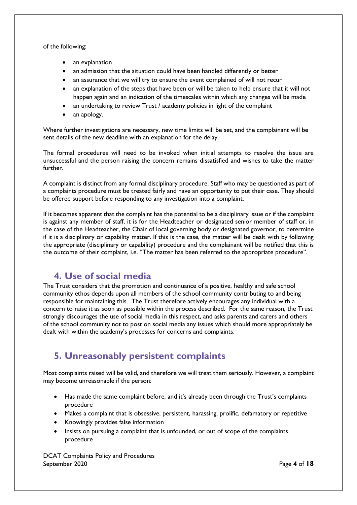of the following:

- an explanation
- an admission that the situation could have been handled differently or better
- an assurance that we will try to ensure the event complained of will not recur
- an explanation of the steps that have been or will be taken to help ensure that it will not happen again and an indication of the timescales within which any changes will be made
- an undertaking to review Trust / academy policies in light of the complaint
- an apology.

Where further investigations are necessary, new time limits will be set, and the complainant will be sent details of the new deadline with an explanation for the delay.

The formal procedures will need to be invoked when initial attempts to resolve the issue are unsuccessful and the person raising the concern remains dissatisfied and wishes to take the matter further.

A complaint is distinct from any formal disciplinary procedure. Staff who may be questioned as part of a complaints procedure must be treated fairly and have an opportunity to put their case. They should be offered support before responding to any investigation into a complaint.

If it becomes apparent that the complaint has the potential to be a disciplinary issue or if the complaint is against any member of staff, it is for the Headteacher or designated senior member of staff or, in the case of the Headteacher, the Chair of local governing body or designated governor, to determine if it is a disciplinary or capability matter. If this is the case, the matter will be dealt with by following the appropriate (disciplinary or capability) procedure and the complainant will be notified that this is the outcome of their complaint, i.e. "The matter has been referred to the appropriate procedure".

### <span id="page-6-0"></span>**4. Use of social media**

The Trust considers that the promotion and continuance of a positive, healthy and safe school community ethos depends upon all members of the school community contributing to and being responsible for maintaining this. The Trust therefore actively encourages any individual with a concern to raise it as soon as possible within the process described. For the same reason, the Trust strongly discourages the use of social media in this respect, and asks parents and carers and others of the school community not to post on social media any issues which should more appropriately be dealt with within the academy's processes for concerns and complaints.

# <span id="page-6-1"></span>**5. Unreasonably persistent complaints**

Most complaints raised will be valid, and therefore we will treat them seriously. However, a complaint may become unreasonable if the person:

- Has made the same complaint before, and it's already been through the Trust's complaints procedure
- Makes a complaint that is obsessive, persistent, harassing, prolific, defamatory or repetitive
- Knowingly provides false information
- Insists on pursuing a complaint that is unfounded, or out of scope of the complaints procedure

DCAT Complaints Policy and Procedures September 2020 Page 4 of 18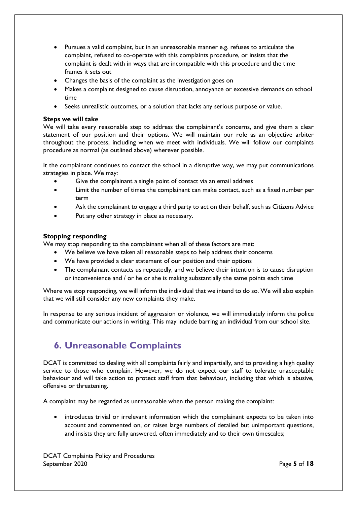- Pursues a valid complaint, but in an unreasonable manner e.g. refuses to articulate the complaint, refused to co-operate with this complaints procedure, or insists that the complaint is dealt with in ways that are incompatible with this procedure and the time frames it sets out
- Changes the basis of the complaint as the investigation goes on
- Makes a complaint designed to cause disruption, annoyance or excessive demands on school time
- Seeks unrealistic outcomes, or a solution that lacks any serious purpose or value.

#### **Steps we will take**

We will take every reasonable step to address the complainant's concerns, and give them a clear statement of our position and their options. We will maintain our role as an objective arbiter throughout the process, including when we meet with individuals. We will follow our complaints procedure as normal (as outlined above) wherever possible.

It the complainant continues to contact the school in a disruptive way, we may put communications strategies in place. We may:

- Give the complainant a single point of contact via an email address
- Limit the number of times the complainant can make contact, such as a fixed number per term
- Ask the complainant to engage a third party to act on their behalf, such as Citizens Advice
- Put any other strategy in place as necessary.

#### **Stopping responding**

We may stop responding to the complainant when all of these factors are met:

- We believe we have taken all reasonable steps to help address their concerns
- We have provided a clear statement of our position and their options
- The complainant contacts us repeatedly, and we believe their intention is to cause disruption or inconvenience and / or he or she is making substantially the same points each time

Where we stop responding, we will inform the individual that we intend to do so. We will also explain that we will still consider any new complaints they make.

In response to any serious incident of aggression or violence, we will immediately inform the police and communicate our actions in writing. This may include barring an individual from our school site.

### <span id="page-7-0"></span>**6. Unreasonable Complaints**

DCAT is committed to dealing with all complaints fairly and impartially, and to providing a high quality service to those who complain. However, we do not expect our staff to tolerate unacceptable behaviour and will take action to protect staff from that behaviour, including that which is abusive, offensive or threatening.

A complaint may be regarded as unreasonable when the person making the complaint:

 introduces trivial or irrelevant information which the complainant expects to be taken into account and commented on, or raises large numbers of detailed but unimportant questions, and insists they are fully answered, often immediately and to their own timescales;

DCAT Complaints Policy and Procedures September 2020 Page 5 of 18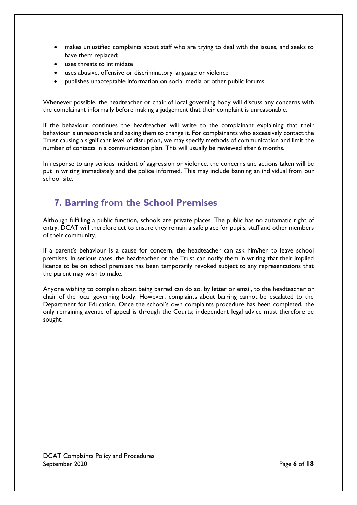- makes unjustified complaints about staff who are trying to deal with the issues, and seeks to have them replaced;
- uses threats to intimidate
- uses abusive, offensive or discriminatory language or violence
- publishes unacceptable information on social media or other public forums.

Whenever possible, the headteacher or chair of local governing body will discuss any concerns with the complainant informally before making a judgement that their complaint is unreasonable.

If the behaviour continues the headteacher will write to the complainant explaining that their behaviour is unreasonable and asking them to change it. For complainants who excessively contact the Trust causing a significant level of disruption, we may specify methods of communication and limit the number of contacts in a communication plan. This will usually be reviewed after 6 months.

In response to any serious incident of aggression or violence, the concerns and actions taken will be put in writing immediately and the police informed. This may include banning an individual from our school site.

# <span id="page-8-0"></span>**7. Barring from the School Premises**

Although fulfilling a public function, schools are private places. The public has no automatic right of entry. DCAT will therefore act to ensure they remain a safe place for pupils, staff and other members of their community.

If a parent's behaviour is a cause for concern, the headteacher can ask him/her to leave school premises. In serious cases, the headteacher or the Trust can notify them in writing that their implied licence to be on school premises has been temporarily revoked subject to any representations that the parent may wish to make.

Anyone wishing to complain about being barred can do so, by letter or email, to the headteacher or chair of the local governing body. However, complaints about barring cannot be escalated to the Department for Education. Once the school's own complaints procedure has been completed, the only remaining avenue of appeal is through the Courts; independent legal advice must therefore be sought.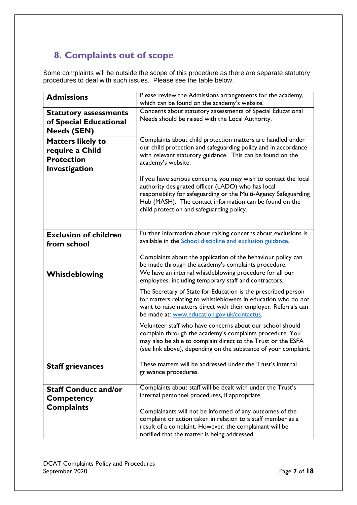# <span id="page-9-0"></span>**8. Complaints out of scope**

Some complaints will be outside the scope of this procedure as there are separate statutory procedures to deal with such issues. Please see the table below.

<span id="page-9-7"></span><span id="page-9-6"></span><span id="page-9-5"></span><span id="page-9-4"></span><span id="page-9-3"></span><span id="page-9-2"></span><span id="page-9-1"></span>

| <b>Admissions</b>                                                                 | Please review the Admissions arrangements for the academy,                                                                                                                                                                                                                                       |
|-----------------------------------------------------------------------------------|--------------------------------------------------------------------------------------------------------------------------------------------------------------------------------------------------------------------------------------------------------------------------------------------------|
|                                                                                   | which can be found on the academy's website.                                                                                                                                                                                                                                                     |
| <b>Statutory assessments</b><br>of Special Educational<br><b>Needs (SEN)</b>      | Concerns about statutory assessments of Special Educational<br>Needs should be raised with the Local Authority.                                                                                                                                                                                  |
| <b>Matters likely to</b><br>require a Child<br><b>Protection</b><br>Investigation | Complaints about child protection matters are handled under<br>our child protection and safeguarding policy and in accordance<br>with relevant statutory guidance. This can be found on the<br>academy's website.                                                                                |
|                                                                                   | If you have serious concerns, you may wish to contact the local<br>authority designated officer (LADO) who has local<br>responsibility for safeguarding or the Multi-Agency Safeguarding<br>Hub (MASH). The contact information can be found on the<br>child protection and safeguarding policy. |
| <b>Exclusion of children</b><br>from school                                       | Further information about raising concerns about exclusions is<br>available in the School discipline and exclusion guidance.                                                                                                                                                                     |
|                                                                                   | Complaints about the application of the behaviour policy can<br>be made through the academy's complaints procedure.                                                                                                                                                                              |
| Whistleblowing                                                                    | We have an internal whistleblowing procedure for all our<br>employees, including temporary staff and contractors.                                                                                                                                                                                |
|                                                                                   | The Secretary of State for Education is the prescribed person<br>for matters relating to whistleblowers in education who do not<br>want to raise matters direct with their employer. Referrals can<br>be made at: www.education.gov.uk/contactus.                                                |
|                                                                                   | Volunteer staff who have concerns about our school should<br>complain through the academy's complaints procedure. You<br>may also be able to complain direct to the Trust or the ESFA<br>(see link above), depending on the substance of your complaint.                                         |
| <b>Staff grievances</b>                                                           | These matters will be addressed under the Trust's internal<br>grievance procedures.                                                                                                                                                                                                              |
| <b>Staff Conduct and/or</b><br><b>Competency</b>                                  | Complaints about staff will be dealt with under the Trust's<br>internal personnel procedures, if appropriate.                                                                                                                                                                                    |
| <b>Complaints</b>                                                                 | Complainants will not be informed of any outcomes of the<br>complaint or action taken in relation to a staff member as a<br>result of a complaint. However, the complainant will be<br>notified that the matter is being addressed.                                                              |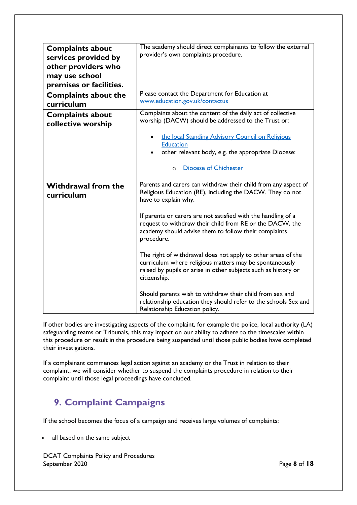<span id="page-10-2"></span><span id="page-10-1"></span><span id="page-10-0"></span>

| <b>Complaints about</b><br>services provided by<br>other providers who<br>may use school<br>premises or facilities. | The academy should direct complainants to follow the external<br>provider's own complaints procedure.                                                                                                     |
|---------------------------------------------------------------------------------------------------------------------|-----------------------------------------------------------------------------------------------------------------------------------------------------------------------------------------------------------|
| <b>Complaints about the</b><br>curriculum                                                                           | Please contact the Department for Education at<br>www.education.gov.uk/contactus                                                                                                                          |
| <b>Complaints about</b><br>collective worship                                                                       | Complaints about the content of the daily act of collective<br>worship (DACW) should be addressed to the Trust or:                                                                                        |
|                                                                                                                     | the local Standing Advisory Council on Religious<br><b>Education</b><br>other relevant body, e.g. the appropriate Diocese:                                                                                |
|                                                                                                                     | <b>Diocese of Chichester</b><br>$\circ$                                                                                                                                                                   |
| <b>Withdrawal from the</b><br>curriculum                                                                            | Parents and carers can withdraw their child from any aspect of<br>Religious Education (RE), including the DACW. They do not<br>have to explain why.                                                       |
|                                                                                                                     | If parents or carers are not satisfied with the handling of a<br>request to withdraw their child from RE or the DACW, the<br>academy should advise them to follow their complaints<br>procedure.          |
|                                                                                                                     | The right of withdrawal does not apply to other areas of the<br>curriculum where religious matters may be spontaneously<br>raised by pupils or arise in other subjects such as history or<br>citizenship. |
|                                                                                                                     | Should parents wish to withdraw their child from sex and<br>relationship education they should refer to the schools Sex and<br>Relationship Education policy.                                             |

<span id="page-10-3"></span>If other bodies are investigating aspects of the complaint, for example the police, local authority (LA) safeguarding teams or Tribunals, this may impact on our ability to adhere to the timescales within this procedure or result in the procedure being suspended until those public bodies have completed their investigations.

If a complainant commences legal action against an academy or the Trust in relation to their complaint, we will consider whether to suspend the complaints procedure in relation to their complaint until those legal proceedings have concluded.

# <span id="page-10-4"></span>**9. Complaint Campaigns**

If the school becomes the focus of a campaign and receives large volumes of complaints:

all based on the same subject

DCAT Complaints Policy and Procedures September 2020 Page 8 of 18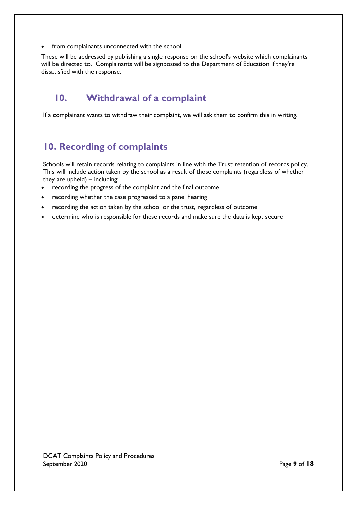from complainants unconnected with the school

These will be addressed by publishing a single response on the school's website which complainants will be directed to. Complainants will be signposted to the Department of Education if they're dissatisfied with the response.

# **10. Withdrawal of a complaint**

If a complainant wants to withdraw their complaint, we will ask them to confirm this in writing.

# **10. Recording of complaints**

Schools will retain records relating to complaints in line with the Trust retention of records policy. This will include action taken by the school as a result of those complaints (regardless of whether they are upheld) – including:

- recording the progress of the complaint and the final outcome
- recording whether the case progressed to a panel hearing
- recording the action taken by the school or the trust, regardless of outcome
- determine who is responsible for these records and make sure the data is kept secure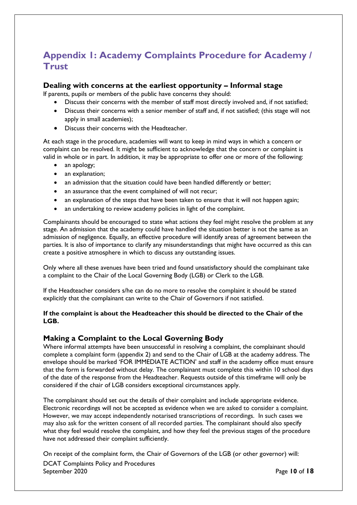### <span id="page-12-0"></span>**Appendix 1: Academy Complaints Procedure for Academy / Trust**

### <span id="page-12-1"></span>**Dealing with concerns at the earliest opportunity – Informal stage**

If parents, pupils or members of the public have concerns they should:

- Discuss their concerns with the member of staff most directly involved and, if not satisfied;
- Discuss their concerns with a senior member of staff and, if not satisfied; (this stage will not apply in small academies);
- Discuss their concerns with the Headteacher.

At each stage in the procedure, academies will want to keep in mind ways in which a concern or complaint can be resolved. It might be sufficient to acknowledge that the concern or complaint is valid in whole or in part. In addition, it may be appropriate to offer one or more of the following:

- an apology;
- an explanation;
- an admission that the situation could have been handled differently or better;
- an assurance that the event complained of will not recur;
- an explanation of the steps that have been taken to ensure that it will not happen again;
- an undertaking to review academy policies in light of the complaint.

Complainants should be encouraged to state what actions they feel might resolve the problem at any stage. An admission that the academy could have handled the situation better is not the same as an admission of negligence. Equally, an effective procedure will identify areas of agreement between the parties. It is also of importance to clarify any misunderstandings that might have occurred as this can create a positive atmosphere in which to discuss any outstanding issues.

Only where all these avenues have been tried and found unsatisfactory should the complainant take a complaint to the Chair of the Local Governing Body (LGB) or Clerk to the LGB.

If the Headteacher considers s/he can do no more to resolve the complaint it should be stated explicitly that the complainant can write to the Chair of Governors if not satisfied.

#### **If the complaint is about the Headteacher this should be directed to the Chair of the LGB.**

### <span id="page-12-2"></span>**Making a Complaint to the Local Governing Body**

Where informal attempts have been unsuccessful in resolving a complaint, the complainant should complete a complaint form (appendix 2) and send to the Chair of LGB at the academy address. The envelope should be marked 'FOR IMMEDIATE ACTION' and staff in the academy office must ensure that the form is forwarded without delay. The complainant must complete this within 10 school days of the date of the response from the Headteacher. Requests outside of this timeframe will only be considered if the chair of LGB considers exceptional circumstances apply.

The complainant should set out the details of their complaint and include appropriate evidence. Electronic recordings will not be accepted as evidence when we are asked to consider a complaint. However, we may accept independently notarised transcriptions of recordings. In such cases we may also ask for the written consent of all recorded parties. The complainant should also specify what they feel would resolve the complaint, and how they feel the previous stages of the procedure have not addressed their complaint sufficiently.

DCAT Complaints Policy and Procedures September 2020 Page **10** of **18** On receipt of the complaint form, the Chair of Governors of the LGB (or other governor) will: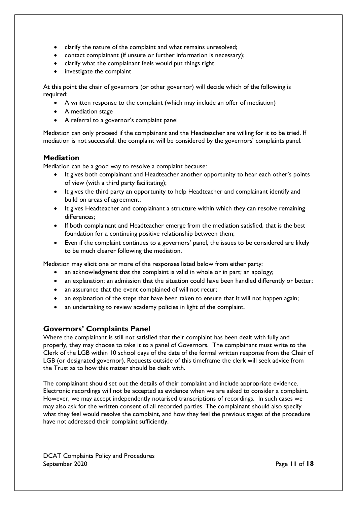- clarify the nature of the complaint and what remains unresolved;
- contact complainant (if unsure or further information is necessary);
- clarify what the complainant feels would put things right.
- investigate the complaint

At this point the chair of governors (or other governor) will decide which of the following is required:

- A written response to the complaint (which may include an offer of mediation)
- A mediation stage
- A referral to a governor's complaint panel

Mediation can only proceed if the complainant and the Headteacher are willing for it to be tried. If mediation is not successful, the complaint will be considered by the governors' complaints panel.

### <span id="page-13-0"></span>**Mediation**

Mediation can be a good way to resolve a complaint because:

- It gives both complainant and Headteacher another opportunity to hear each other's points of view (with a third party facilitating);
- It gives the third party an opportunity to help Headteacher and complainant identify and build on areas of agreement;
- It gives Headteacher and complainant a structure within which they can resolve remaining differences;
- If both complainant and Headteacher emerge from the mediation satisfied, that is the best foundation for a continuing positive relationship between them;
- Even if the complaint continues to a governors' panel, the issues to be considered are likely to be much clearer following the mediation.

Mediation may elicit one or more of the responses listed below from either party:

- an acknowledgment that the complaint is valid in whole or in part; an apology;
- an explanation; an admission that the situation could have been handled differently or better;
- an assurance that the event complained of will not recur;
- an explanation of the steps that have been taken to ensure that it will not happen again;
- an undertaking to review academy policies in light of the complaint.

### <span id="page-13-1"></span>**Governors' Complaints Panel**

Where the complainant is still not satisfied that their complaint has been dealt with fully and properly, they may choose to take it to a panel of Governors. The complainant must write to the Clerk of the LGB within 10 school days of the date of the formal written response from the Chair of LGB (or designated governor). Requests outside of this timeframe the clerk will seek advice from the Trust as to how this matter should be dealt with.

The complainant should set out the details of their complaint and include appropriate evidence. Electronic recordings will not be accepted as evidence when we are asked to consider a complaint. However, we may accept independently notarised transcriptions of recordings. In such cases we may also ask for the written consent of all recorded parties. The complainant should also specify what they feel would resolve the complaint, and how they feel the previous stages of the procedure have not addressed their complaint sufficiently.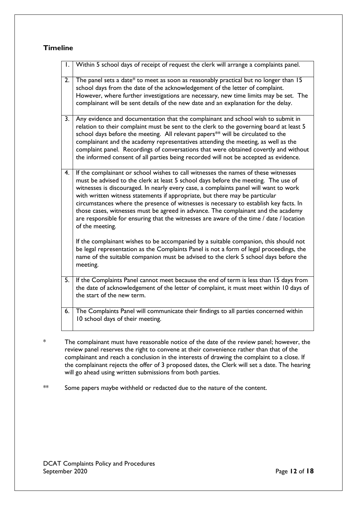### <span id="page-14-0"></span>**Timeline**

| Ι. | Within 5 school days of receipt of request the clerk will arrange a complaints panel.                                                                                                                                                                                                                                                                                                                                                                                                                                                                                                                                                       |
|----|---------------------------------------------------------------------------------------------------------------------------------------------------------------------------------------------------------------------------------------------------------------------------------------------------------------------------------------------------------------------------------------------------------------------------------------------------------------------------------------------------------------------------------------------------------------------------------------------------------------------------------------------|
| 2. | The panel sets a date* to meet as soon as reasonably practical but no longer than 15<br>school days from the date of the acknowledgement of the letter of complaint.<br>However, where further investigations are necessary, new time limits may be set. The<br>complainant will be sent details of the new date and an explanation for the delay.                                                                                                                                                                                                                                                                                          |
| 3. | Any evidence and documentation that the complainant and school wish to submit in<br>relation to their complaint must be sent to the clerk to the governing board at least 5<br>school days before the meeting. All relevant papers <sup>**</sup> will be circulated to the<br>complainant and the academy representatives attending the meeting, as well as the<br>complaint panel. Recordings of conversations that were obtained covertly and without<br>the informed consent of all parties being recorded will not be accepted as evidence.                                                                                             |
| 4. | If the complainant or school wishes to call witnesses the names of these witnesses<br>must be advised to the clerk at least 5 school days before the meeting. The use of<br>witnesses is discouraged. In nearly every case, a complaints panel will want to work<br>with written witness statements if appropriate, but there may be particular<br>circumstances where the presence of witnesses is necessary to establish key facts. In<br>those cases, witnesses must be agreed in advance. The complainant and the academy<br>are responsible for ensuring that the witnesses are aware of the time / date / location<br>of the meeting. |
|    | If the complainant wishes to be accompanied by a suitable companion, this should not<br>be legal representation as the Complaints Panel is not a form of legal proceedings, the<br>name of the suitable companion must be advised to the clerk 5 school days before the<br>meeting.                                                                                                                                                                                                                                                                                                                                                         |
| 5. | If the Complaints Panel cannot meet because the end of term is less than 15 days from<br>the date of acknowledgement of the letter of complaint, it must meet within 10 days of<br>the start of the new term.                                                                                                                                                                                                                                                                                                                                                                                                                               |
| 6. | The Complaints Panel will communicate their findings to all parties concerned within<br>10 school days of their meeting.                                                                                                                                                                                                                                                                                                                                                                                                                                                                                                                    |

\* The complainant must have reasonable notice of the date of the review panel; however, the review panel reserves the right to convene at their convenience rather than that of the complainant and reach a conclusion in the interests of drawing the complaint to a close. If the complainant rejects the offer of 3 proposed dates, the Clerk will set a date. The hearing will go ahead using written submissions from both parties.

\*\* Some papers maybe withheld or redacted due to the nature of the content.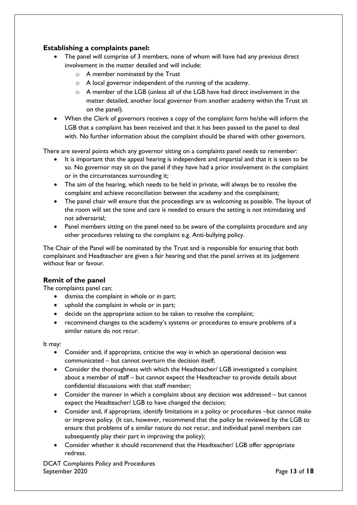### <span id="page-15-0"></span>**Establishing a complaints panel:**

- The panel will comprise of 3 members, none of whom will have had any previous direct involvement in the matter detailed and will include:
	- $\circ$  A member nominated by the Trust
	- o A local governor independent of the running of the academy.
	- $\circ$  A member of the LGB (unless all of the LGB have had direct involvement in the matter detailed, another local governor from another academy within the Trust sit on the panel).
- When the Clerk of governors receives a copy of the complaint form he/she will inform the LGB that a complaint has been received and that it has been passed to the panel to deal with. No further information about the complaint should be shared with other governors.

There are several points which any governor sitting on a complaints panel needs to remember:

- It is important that the appeal hearing is independent and impartial and that it is seen to be so. No governor may sit on the panel if they have had a prior involvement in the complaint or in the circumstances surrounding it;
- The aim of the hearing, which needs to be held in private, will always be to resolve the complaint and achieve reconciliation between the academy and the complainant;
- The panel chair will ensure that the proceedings are as welcoming as possible. The layout of the room will set the tone and care is needed to ensure the setting is not intimidating and not adversarial;
- Panel members sitting on the panel need to be aware of the complaints procedure and any other procedures relating to the complaint e.g. Anti-bullying policy.

The Chair of the Panel will be nominated by the Trust and is responsible for ensuring that both complainant and Headteacher are given a fair hearing and that the panel arrives at its judgement without fear or favour.

### <span id="page-15-1"></span>**Remit of the panel**

The complaints panel can:

- dismiss the complaint in whole or in part;
- uphold the complaint in whole or in part;
- decide on the appropriate action to be taken to resolve the complaint;
- recommend changes to the academy's systems or procedures to ensure problems of a similar nature do not recur.

It may:

- Consider and, if appropriate, criticise the way in which an operational decision was communicated – but cannot overturn the decision itself;
- Consider the thoroughness with which the Headteacher/ LGB investigated a complaint about a member of staff – but cannot expect the Headteacher to provide details about confidential discussions with that staff member;
- Consider the manner in which a complaint about any decision was addressed but cannot expect the Headteacher/ LGB to have changed the decision;
- Consider and, if appropriate, identify limitations in a policy or procedures –but cannot make or improve policy. (It can, however, recommend that the policy be reviewed by the LGB to ensure that problems of a similar nature do not recur, and individual panel members can subsequently play their part in improving the policy);
- Consider whether it should recommend that the Headteacher/ LGB offer appropriate redress.

DCAT Complaints Policy and Procedures September 2020 Page **13** of **18**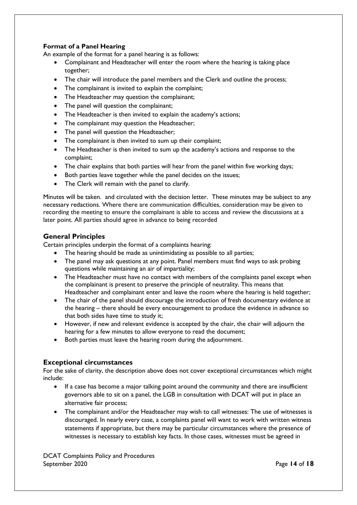### **Format of a Panel Hearing**

An example of the format for a panel hearing is as follows:

- Complainant and Headteacher will enter the room where the hearing is taking place together;
- The chair will introduce the panel members and the Clerk and outline the process;
- The complainant is invited to explain the complaint;
- The Headteacher may question the complainant;
- The panel will question the complainant;
- The Headteacher is then invited to explain the academy's actions;
- The complainant may question the Headteacher;
- The panel will question the Headteacher;
- The complainant is then invited to sum up their complaint;
- The Headteacher is then invited to sum up the academy's actions and response to the complaint;
- The chair explains that both parties will hear from the panel within five working days;
- Both parties leave together while the panel decides on the issues;
- The Clerk will remain with the panel to clarify.

Minutes will be taken. and circulated with the decision letter. These minutes may be subject to any necessary redactions. Where there are communication difficulties, consideration may be given to recording the meeting to ensure the complainant is able to access and review the discussions at a later point. All parties should agree in advance to being recorded

### <span id="page-16-0"></span>**General Principles**

Certain principles underpin the format of a complaints hearing:

- The hearing should be made as unintimidating as possible to all parties;
- The panel may ask questions at any point. Panel members must find ways to ask probing questions while maintaining an air of impartiality;
- The Headteacher must have no contact with members of the complaints panel except when the complainant is present to preserve the principle of neutrality. This means that Headteacher and complainant enter and leave the room where the hearing is held together;
- The chair of the panel should discourage the introduction of fresh documentary evidence at the hearing – there should be every encouragement to produce the evidence in advance so that both sides have time to study it;
- However, if new and relevant evidence is accepted by the chair, the chair will adjourn the hearing for a few minutes to allow everyone to read the document;
- Both parties must leave the hearing room during the adjournment.

### <span id="page-16-1"></span>**Exceptional circumstances**

For the sake of clarity, the description above does not cover exceptional circumstances which might include:

- If a case has become a major talking point around the community and there are insufficient governors able to sit on a panel, the LGB in consultation with DCAT will put in place an alternative fair process;
- The complainant and/or the Headteacher may wish to call witnesses: The use of witnesses is discouraged. In nearly every case, a complaints panel will want to work with written witness statements if appropriate, but there may be particular circumstances where the presence of witnesses is necessary to establish key facts. In those cases, witnesses must be agreed in

DCAT Complaints Policy and Procedures September 2020 **Page 14 of 18**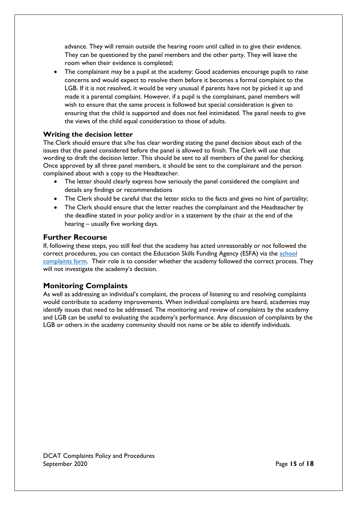advance. They will remain outside the hearing room until called in to give their evidence. They can be questioned by the panel members and the other party. They will leave the room when their evidence is completed;

• The complainant may be a pupil at the academy: Good academies encourage pupils to raise concerns and would expect to resolve them before it becomes a formal complaint to the LGB. If it is not resolved, it would be very unusual if parents have not by picked it up and made it a parental complaint. However, if a pupil is the complainant, panel members will wish to ensure that the same process is followed but special consideration is given to ensuring that the child is supported and does not feel intimidated. The panel needs to give the views of the child equal consideration to those of adults.

### <span id="page-17-0"></span>**Writing the decision letter**

The Clerk should ensure that s/he has clear wording stating the panel decision about each of the issues that the panel considered before the panel is allowed to finish. The Clerk will use that wording to draft the decision letter. This should be sent to all members of the panel for checking. Once approved by all three panel members, it should be sent to the complainant and the person complained about with a copy to the Headteacher.

- The letter should clearly express how seriously the panel considered the complaint and details any findings or recommendations
- The Clerk should be careful that the letter sticks to the facts and gives no hint of partiality;
- The Clerk should ensure that the letter reaches the complainant and the Headteacher by the deadline stated in your policy and/or in a statement by the chair at the end of the hearing – usually five working days.

### <span id="page-17-1"></span>**Further Recourse**

If, following these steps, you still feel that the academy has acted unreasonably or not followed the correct procedures, you can contact the Education Skills Funding Agency (ESFA) via the school [complaints form.](https://form.education.gov.uk/en/AchieveForms/?form_uri=sandbox-publish://AF-Process-f1453496-7d8a-463f-9f33-1da2ac47ed76/AF-Stage-1e64d4cc-25fb-499a-a8d7-74e98203ac00/definition.json&redirectlink=%2Fen&cancelRedirectLink=%2Fen) Their role is to consider whether the academy followed the correct process. They will not investigate the academy's decision.

### <span id="page-17-2"></span>**Monitoring Complaints**

As well as addressing an individual's complaint, the process of listening to and resolving complaints would contribute to academy improvements. When individual complaints are heard, academies may identify issues that need to be addressed. The monitoring and review of complaints by the academy and LGB can be useful to evaluating the academy's performance. Any discussion of complaints by the LGB or others in the academy community should not name or be able to identify individuals.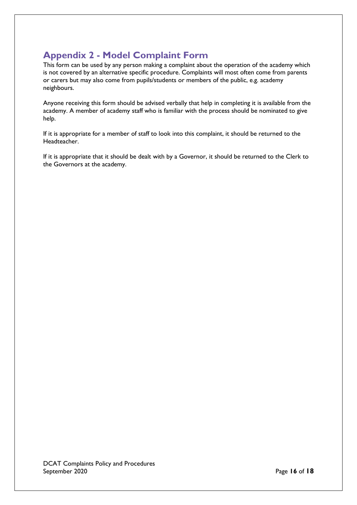# <span id="page-18-0"></span>**Appendix 2 - Model Complaint Form**

This form can be used by any person making a complaint about the operation of the academy which is not covered by an alternative specific procedure. Complaints will most often come from parents or carers but may also come from pupils/students or members of the public, e.g. academy neighbours.

Anyone receiving this form should be advised verbally that help in completing it is available from the academy. A member of academy staff who is familiar with the process should be nominated to give help.

If it is appropriate for a member of staff to look into this complaint, it should be returned to the Headteacher.

If it is appropriate that it should be dealt with by a Governor, it should be returned to the Clerk to the Governors at the academy.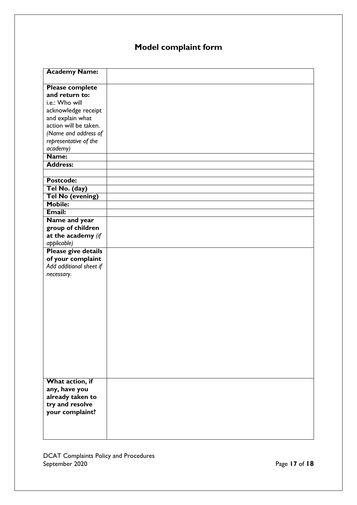# **Model complaint form**

| <b>Academy Name:</b>    |  |
|-------------------------|--|
| <b>Please complete</b>  |  |
| and return to:          |  |
| i.e.: Who will          |  |
| acknowledge receipt     |  |
| and explain what        |  |
| action will be taken.   |  |
| (Name and address of    |  |
| representative of the   |  |
| academy)                |  |
| Name:                   |  |
| <b>Address:</b>         |  |
|                         |  |
| Postcode:               |  |
| Tel No. (day)           |  |
| <b>Tel No (evening)</b> |  |
| <b>Mobile:</b>          |  |
| Email:                  |  |
| Name and year           |  |
| group of children       |  |
| at the academy (if      |  |
| applicable)             |  |
| Please give details     |  |
| of your complaint       |  |
| Add additional sheet if |  |
| necessary.              |  |
|                         |  |
|                         |  |
|                         |  |
|                         |  |
|                         |  |
|                         |  |
|                         |  |
|                         |  |
|                         |  |
|                         |  |
|                         |  |
|                         |  |
| What action, if         |  |
| any, have you           |  |
| already taken to        |  |
| try and resolve         |  |
| your complaint?         |  |
|                         |  |
|                         |  |
|                         |  |

DCAT Complaints Policy and Procedures September 2020 **Page 17** of **18**